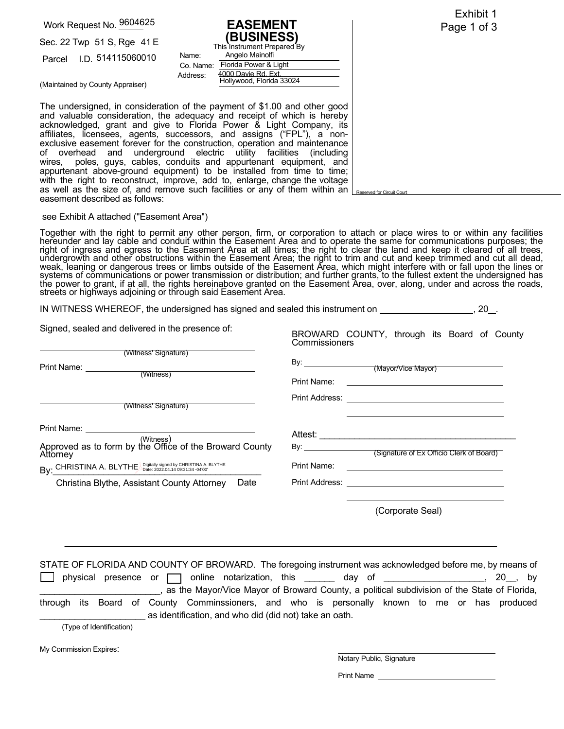Work Request No. 9604625

Sec. 22 Twp 51 S, Rge 41 E

Parcel I.D. 514115060010

**EASEMENT (BUSINESS)**  Co. Name: Florida Power & Light Address: 4000 Davie Rd. Ext. Hollywood, Florida 33024 This Instrument Prepared By Angelo Mainolfi

Exhibit 1 Page 1 of 3

 $\Omega$ 

(Maintained by County Appraiser)

The undersigned, in consideration of the payment of \$1.00 and other good and valuable consideration, the adequacy and receipt of which is hereby acknowledged, grant and give to Florida Power & Light Company, its affiliates, licensees, agents, successors, and assigns ("FPL"), a nonexclusive easement forever for the construction, operation and maintenance of overhead and underground electric utility facilities (including wires, poles, guys, cables, conduits and appurtenant equipment, and appurtenant above-ground equipment) to be installed from time to time; with the right to reconstruct, improve, add to, enlarge, change the voltage as well as the size of, and remove such facilities or any of them within an easement described as follows:

Name:

IN WITNESS WHEREOF, the undersigned has signed and sealed this instrument on

## see Exhibit A attached ("Easement Area")

Together with the right to permit any other person, firm, or corporation to attach or place wires to or within any facilities<br>hereunder and lay cable and conduit within the Easement Area and to operate the same for communi right of ingress and egress to the Easement Area at all times; the right to clear the land and keep it cleared of all trees, indergrowth and other obstructions within the Easement Area; the right to trim and cut and keep it cleared of all dead,<br>weak, leaning or dangerous trees or limbs outside of the Easement Area; the right to trim and cut and the power to grant, if at all, the rights hereinabove granted on the Easement Area, over, along, under and across the roads,<br>streets or highways adjoining or through said Easement Area.

| BROWARD COUNTY, through its Board of County                                                                            |
|------------------------------------------------------------------------------------------------------------------------|
|                                                                                                                        |
|                                                                                                                        |
|                                                                                                                        |
|                                                                                                                        |
|                                                                                                                        |
|                                                                                                                        |
|                                                                                                                        |
| <u> 1989 - Johann Stoff, deutscher Stoffen und der Stoffen und der Stoffen und der Stoffen und der Stoffen und der</u> |
|                                                                                                                        |
|                                                                                                                        |
|                                                                                                                        |

STATE OF FLORIDA AND COUNTY OF BROWARD. The foregoing instrument was acknowledged before me, by means of physical presence or  $\Box$  online notarization, this  $\Box$  day of  $\Box$ , 20, by \_\_\_\_\_\_\_\_\_\_\_\_\_\_\_\_\_\_\_\_\_\_\_\_, as the Mayor/Vice Mayor of Broward County, a political subdivision of the State of Florida, through its Board of County Comminssioners, and who is personally known to me or has produced as identification, and who did (did not) take an oath. (Type of Identification)

 $\overline{\phantom{a}}$  , and the contribution of the contribution of the contribution of the contribution of the contribution of the contribution of the contribution of the contribution of the contribution of the contribution of the

My Commission Expires:

Notary Public, Signature

Reserved for Circuit Court

Print Name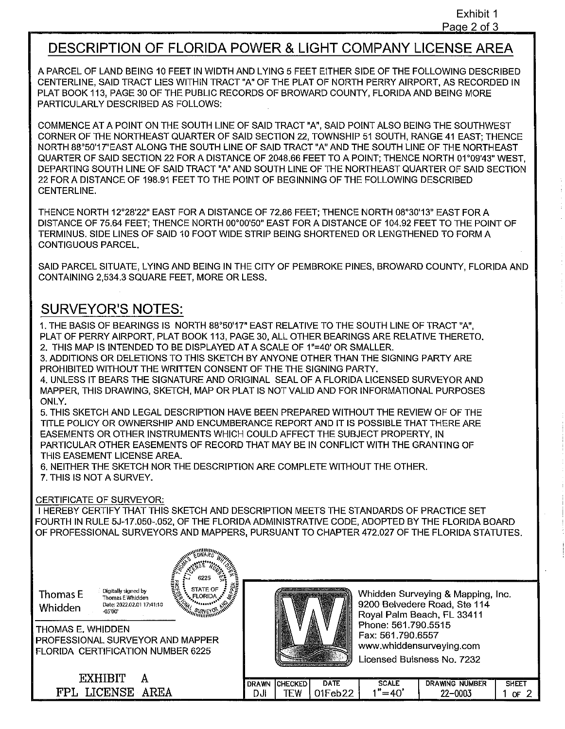## **DESCRIPTION OF FLORIDA POWER** & **LIGHT COMPANY LICENSE AREA**

A PARCEL OF LAND BEING 10 FEET IN WIDTH AND LYING 5 FEET EITHER SIDE OF THE FOLLOWING DESCRIBED CENTERLINE, SAID TRACT LIES WITHIN TRACT "A" OF THE PLAT OF NORTH PERRY AIRPORT, AS RECORDED IN PLAT BOOK 113, PAGE 30 OF THE PUBLIC RECORDS OF BROWARD COUNTY, FLORIDA AND BEING MORE PARTICULARLY DESCRIBED AS FOLLOWS:

COMMENCE AT A POINT ON THE SOUTH LINE OF SAID TRACT "A", SAID POINT ALSO BEING THE SOUTHWEST CORNER OF THE NORTHEAST QUARTER OF SAID SECTION 22, TOWNSHIP 51 SOUTH, RANGE 41 EAST; THENCE NORTH 88°50'17"EAST ALONG THE SOUTH LINE OF SAID TRACT "A" AND THE SOUTH LINE OF THE NORTHEAST QUARTER OF SAID SECTION 22 FOR A DISTANCE OF 2048.66 FEET TO A POINT; THENCE NORTH 01 °09'43" WEST, DEPARTING SOUTH LINE OF SAID TRACT "A" AND SOUTH LINE OF THE NORTHEAST QUARTER OF SAID SECTION 22 FOR A DISTANCE OF 198.91 FEET TO THE POINT OF BEGINNING OF THE FOLLOWING DESCRIBED CENTERLINE.

THENCE NORTH 12°28'22" EAST FOR A DISTANCE OF 72.86 FEET; THENCE NORTH 08°30'13" EAST FOR A DISTANCE OF 75.64 FEET; THENCE NORTH 00°00'50" EAST FOR A DISTANCE OF 104.92 FEET TO THE POINT OF TERMINUS. SIDE LINES OF SAID 10 FOOT WIDE STRIP BEING SHORTENED OR LENGTHENED TO FORM A CONTIGUOUS PARCEL.

SAID PARCEL SITUATE, LYING AND BEING IN THE CITY OF PEMBROKE PINES, BROWARD COUNTY, FLORIDA AND CONTAINING 2,534.3 SQUARE FEET, MORE OR LESS.

## **SURVEYOR'S NOTES:**

1. THE BASIS OF BEARINGS IS NORTH 88°50'17" EAST RELATIVE TO THE SOUTH LINE OF TRACT "A", PLAT OF PERRY AIRPORT, PLAT BOOK 113, PAGE 30, ALL OTHER BEARINGS ARE RELATIVE THERETO. 2. THIS MAP IS INTENDED TO BE DISPLAYED AT A SCALE OF 1"=40' OR SMALLER.

3. ADDITIONS OR DELETIONS TO THIS SKETCH BY ANYONE OTHER THAN THE SIGNING PARTY ARE PROHIBITED WITHOUT THE WRITTEN CONSENT OF THE THE SIGNING PARTY.

4. UNLESS IT BEARS THE SIGNATURE AND ORIGINAL SEAL OF A FLORIDA LICENSED SURVEYOR AND MAPPER, THIS DRAWING, SKETCH, MAP OR PLAT IS NOT VALID AND FOR INFORMATIONAL PURPOSES ONLY.

5. THIS SKETCH AND LEGAL DESCRIPTION HAVE BEEN PREPARED WITHOUT THE REVIEW OF OF THE TITLE POLICY OR OWNERSHIP AND ENCUMBERANCE REPORT AND IT IS POSSIBLE THAT THERE ARE EASEMENTS OR OTHER INSTRUMENTS WHICH COULD AFFECT THE SUBJECT PROPERTY, IN PARTICULAR OTHER EASEMENTS OF RECORD THAT MAY BE IN CONFLICT WITH THE GRANTING OF THIS EASEMENT LICENSE AREA.

6. NEITHER THE SKETCH NOR THE DESCRIPTION ARE COMPLETE WITHOUT THE OTHER. 7. THIS IS NOT A SURVEY.

## CERTIFICATE OF SURVEYOR:

I HEREBY CERTIFY THAT THIS SKETCH AND DESCRIPTION MEETS THE STANDARDS OF PRACTICE SET FOURTH IN RULE 5J-17.050-.052, OF THE FLORIDA ADMINISTRATIVE CODE, ADOPTED BY THE FLORIDA BOARD OF PROFESSIONAL SURVEYORS AND MAPPERS, PURSUANT TO CHAPTER 472.027 OF THE FLORIDA STATUTES.

Whidden  $D_{\text{attn}}$ 

**Thomas E**<br> $\frac{1}{\text{Thomas E Whidden}}$ <br> $\frac{\text{Data: EWhidden}}{\text{Date: } 2022.02.0117:41:10}$ 



THOMAS E. WHIDDEN PROFESSIONAL SURVEYOR AND MAPPER FLORIDA CERTIFICATION NUMBER 6225

> EXHIBIT A FPL LICENSE AREA

Whidden Surveying & Mapping, Inc. 9200 Belvedere Road, Ste 114 Royal Palm Beach, FL 33411 Phone: 561.790.5515 Fax: 561.790.6557 <www.whiddensurveying.com> Licensed Buisness No. 7232

| A WN<br>. DR | <br>™:HECKEL : | DATE | SCALE       | <b>NUMBER</b><br>w<br>ING | <b>CULL</b> |
|--------------|----------------|------|-------------|---------------------------|-------------|
| וטע          | ---<br>м       | ∽    | . .<br>---- | ாயும                      | ΛC          |
|              |                |      |             |                           |             |